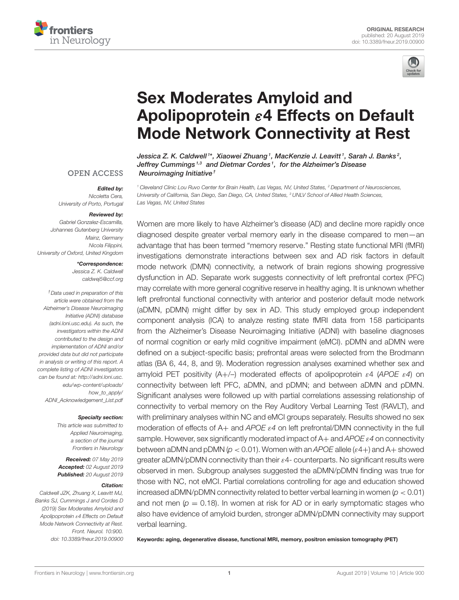



# Sex Moderates Amyloid and Apolipoprotein ε4 Effects on Default [Mode Network Connectivity at Rest](https://www.frontiersin.org/articles/10.3389/fneur.2019.00900/full)

[Jessica Z. K. Caldwell](http://loop.frontiersin.org/people/712941/overview)  $^{\text{\tiny{14}}}$ , [Xiaowei Zhuang](http://loop.frontiersin.org/people/294493/overview)  $^{\text{\tiny{1}}}$ , MacKenzie J. Leavitt  $^{\text{\tiny{1}}}$ , Sarah J. Banks  $^{\text{\tiny{2}}}$ , Jeffrey Cummings<sup>1,3</sup> and [Dietmar Cordes](http://loop.frontiersin.org/people/313725/overview)<sup>1</sup>, for the Alzheimer's Disease Neuroimaging Initiative†

**OPEN ACCESS** 

#### Edited by:

*Nicoletta Cera, University of Porto, Portugal*

#### Reviewed by:

*Gabriel Gonzalez-Escamilla, Johannes Gutenberg University Mainz, Germany Nicola Filippini, University of Oxford, United Kingdom*

#### \*Correspondence:

*Jessica Z. K. Caldwell [caldwej5@ccf.org](mailto:caldwej5@ccf.org)*

*†Data used in preparation of this article were obtained from the Alzheimer's Disease Neuroimaging Initiative (ADNI) database (adni.loni.usc.edu). As such, the investigators within the ADNI contributed to the design and implementation of ADNI and/or provided data but did not participate in analysis or writing of this report. A complete listing of ADNI investigators can be found at: [http://adni.loni.usc.](http://adni.loni.usc.edu/wp-content/uploads/how_to_apply/ADNI_Acknowledgement_List.pdf) [edu/wp-content/uploads/](http://adni.loni.usc.edu/wp-content/uploads/how_to_apply/ADNI_Acknowledgement_List.pdf) [how\\_to\\_apply/](http://adni.loni.usc.edu/wp-content/uploads/how_to_apply/ADNI_Acknowledgement_List.pdf) [ADNI\\_Acknowledgement\\_List.pdf](http://adni.loni.usc.edu/wp-content/uploads/how_to_apply/ADNI_Acknowledgement_List.pdf)*

#### Specialty section:

*This article was submitted to Applied Neuroimaging, a section of the journal Frontiers in Neurology*

Received: *07 May 2019* Accepted: *02 August 2019* Published: *20 August 2019*

#### Citation:

*Caldwell JZK, Zhuang X, Leavitt MJ, Banks SJ, Cummings J and Cordes D (2019) Sex Moderates Amyloid and Apolipoprotein* ε*4 Effects on Default Mode Network Connectivity at Rest. Front. Neurol. 10:900. doi: [10.3389/fneur.2019.00900](https://doi.org/10.3389/fneur.2019.00900)*

*<sup>1</sup> Cleveland Clinic Lou Ruvo Center for Brain Health, Las Vegas, NV, United States, <sup>2</sup> Department of Neurosciences, University of California, San Diego, San Diego, CA, United States, <sup>3</sup> UNLV School of Allied Health Sciences, Las Vegas, NV, United States*

Women are more likely to have Alzheimer's disease (AD) and decline more rapidly once diagnosed despite greater verbal memory early in the disease compared to men—an advantage that has been termed "memory reserve." Resting state functional MRI (fMRI) investigations demonstrate interactions between sex and AD risk factors in default mode network (DMN) connectivity, a network of brain regions showing progressive dysfunction in AD. Separate work suggests connectivity of left prefrontal cortex (PFC) may correlate with more general cognitive reserve in healthy aging. It is unknown whether left prefrontal functional connectivity with anterior and posterior default mode network (aDMN, pDMN) might differ by sex in AD. This study employed group independent component analysis (ICA) to analyze resting state fMRI data from 158 participants from the Alzheimer's Disease Neuroimaging Initiative (ADNI) with baseline diagnoses of normal cognition or early mild cognitive impairment (eMCI). pDMN and aDMN were defined on a subject-specific basis; prefrontal areas were selected from the Brodmann atlas (BA 6, 44, 8, and 9). Moderation regression analyses examined whether sex and amyloid PET positivity (A+/–) moderated effects of apolipoprotein ε4 (*APOE* ε*4*) on connectivity between left PFC, aDMN, and pDMN; and between aDMN and pDMN. Significant analyses were followed up with partial correlations assessing relationship of connectivity to verbal memory on the Rey Auditory Verbal Learning Test (RAVLT), and with preliminary analyses within NC and eMCI groups separately. Results showed no sex moderation of effects of A+ and *APOE* ε*4* on left prefrontal/DMN connectivity in the full sample. However, sex significantly moderated impact of A+ and *APOE* ε*4* on connectivity between aDMN and pDMN (*p* < 0.01). Women with an *APOE* allele (ε4+) and A+ showed greater aDMN/pDMN connectivity than their  $\varepsilon$ 4- counterparts. No significant results were observed in men. Subgroup analyses suggested the aDMN/pDMN finding was true for those with NC, not eMCI. Partial correlations controlling for age and education showed increased aDMN/pDMN connectivity related to better verbal learning in women (*p* < 0.01) and not men ( $p = 0.18$ ). In women at risk for AD or in early symptomatic stages who also have evidence of amyloid burden, stronger aDMN/pDMN connectivity may support verbal learning.

Keywords: aging, degenerative disease, functional MRI, memory, positron emission tomography (PET)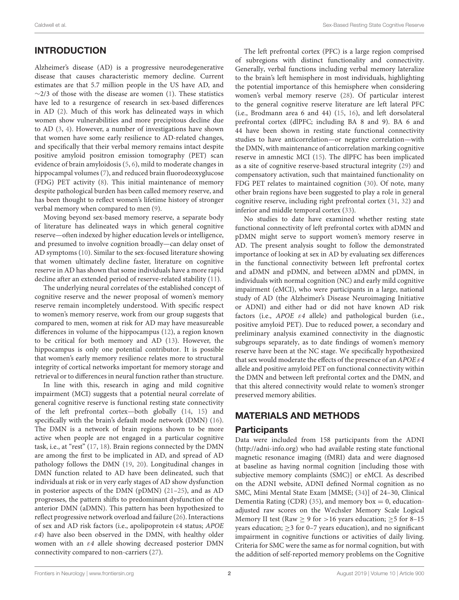# INTRODUCTION

Alzheimer's disease (AD) is a progressive neurodegenerative disease that causes characteristic memory decline. Current estimates are that 5.7 million people in the US have AD, and  $\sim$ 2/3 of those with the disease are women [\(1\)](#page-7-0). These statistics have led to a resurgence of research in sex-based differences in AD [\(2\)](#page-7-1). Much of this work has delineated ways in which women show vulnerabilities and more precipitous decline due to AD [\(3,](#page-7-2) [4\)](#page-7-3). However, a number of investigations have shown that women have some early resilience to AD-related changes, and specifically that their verbal memory remains intact despite positive amyloid positron emission tomography (PET) scan evidence of brain amyloidosis [\(5,](#page-7-4) [6\)](#page-7-5), mild to moderate changes in hippocampal volumes [\(7\)](#page-7-6), and reduced brain fluorodeoxyglucose (FDG) PET activity [\(8\)](#page-7-7). This initial maintenance of memory despite pathological burden has been called memory reserve, and has been thought to reflect women's lifetime history of stronger verbal memory when compared to men [\(9\)](#page-7-8).

Moving beyond sex-based memory reserve, a separate body of literature has delineated ways in which general cognitive reserve—often indexed by higher education levels or intelligence, and presumed to involve cognition broadly—can delay onset of AD symptoms [\(10\)](#page-7-9). Similar to the sex-focused literature showing that women ultimately decline faster, literature on cognitive reserve in AD has shown that some individuals have a more rapid decline after an extended period of reserve-related stability [\(11\)](#page-7-10).

The underlying neural correlates of the established concept of cognitive reserve and the newer proposal of women's memory reserve remain incompletely understood. With specific respect to women's memory reserve, work from our group suggests that compared to men, women at risk for AD may have measureable differences in volume of the hippocampus [\(12\)](#page-7-11), a region known to be critical for both memory and AD [\(13\)](#page-7-12). However, the hippocampus is only one potential contributor. It is possible that women's early memory resilience relates more to structural integrity of cortical networks important for memory storage and retrieval or to differences in neural function rather than structure.

In line with this, research in aging and mild cognitive impairment (MCI) suggests that a potential neural correlate of general cognitive reserve is functional resting state connectivity of the left prefrontal cortex—both globally [\(14,](#page-7-13) [15\)](#page-7-14) and specifically with the brain's default mode network (DMN) [\(16\)](#page-7-15). The DMN is a network of brain regions shown to be more active when people are not engaged in a particular cognitive task, i.e., at "rest" [\(17,](#page-7-16) [18\)](#page-7-17). Brain regions connected by the DMN are among the first to be implicated in AD, and spread of AD pathology follows the DMN [\(19,](#page-7-18) [20\)](#page-8-0). Longitudinal changes in DMN function related to AD have been delineated, such that individuals at risk or in very early stages of AD show dysfunction in posterior aspects of the DMN (pDMN) [\(21](#page-8-1)[–25\)](#page-8-2), and as AD progresses, the pattern shifts to predominant dysfunction of the anterior DMN (aDMN). This pattern has been hypothesized to reflect progressive network overload and failure [\(26\)](#page-8-3). Interactions of sex and AD risk factors (i.e., apolipoprotein ε4 status; APOE  $\varepsilon$ 4) have also been observed in the DMN, with healthy older women with an ε4 allele showing decreased posterior DMN connectivity compared to non-carriers [\(27\)](#page-8-4).

The left prefrontal cortex (PFC) is a large region comprised of subregions with distinct functionality and connectivity. Generally, verbal functions including verbal memory lateralize to the brain's left hemisphere in most individuals, highlighting the potential importance of this hemisphere when considering women's verbal memory reserve [\(28\)](#page-8-5). Of particular interest to the general cognitive reserve literature are left lateral PFC (i.e., Brodmann area 6 and 44) [\(15,](#page-7-14) [16\)](#page-7-15), and left dorsolateral prefrontal cortex (dlPFC; including BA 8 and 9). BA 6 and 44 have been shown in resting state functional connectivity studies to have anticorrelation—or negative correlation—with the DMN, with maintenance of anticorrelation marking cognitive reserve in amnestic MCI [\(15\)](#page-7-14). The dlPFC has been implicated as a site of cognitive reserve-based structural integrity [\(29\)](#page-8-6) and compensatory activation, such that maintained functionality on FDG PET relates to maintained cognition [\(30\)](#page-8-7). Of note, many other brain regions have been suggested to play a role in general cognitive reserve, including right prefrontal cortex [\(31,](#page-8-8) [32\)](#page-8-9) and inferior and middle temporal cortex [\(33\)](#page-8-10).

No studies to date have examined whether resting state functional connectivity of left prefrontal cortex with aDMN and pDMN might serve to support women's memory reserve in AD. The present analysis sought to follow the demonstrated importance of looking at sex in AD by evaluating sex differences in the functional connectivity between left prefrontal cortex and aDMN and pDMN, and between aDMN and pDMN, in individuals with normal cognition (NC) and early mild cognitive impairment (eMCI), who were participants in a large, national study of AD (the Alzheimer's Disease Neuroimaging Initiative or ADNI) and either had or did not have known AD risk factors (i.e.,  $APOE \varepsilon 4$  allele) and pathological burden (i.e., positive amyloid PET). Due to reduced power, a secondary and preliminary analysis examined connectivity in the diagnostic subgroups separately, as to date findings of women's memory reserve have been at the NC stage. We specifically hypothesized that sex would moderate the effects of the presence of an APOE  $\varepsilon$ 4 allele and positive amyloid PET on functional connectivity within the DMN and between left prefrontal cortex and the DMN, and that this altered connectivity would relate to women's stronger preserved memory abilities.

# MATERIALS AND METHODS

### Participants

Data were included from 158 participants from the ADNI [\(http://adni-info.org\)](http://adni-info.org) who had available resting state functional magnetic resonance imaging (fMRI) data and were diagnosed at baseline as having normal cognition [including those with subjective memory complaints (SMC)] or eMCI. As described on the ADNI website, ADNI defined Normal cognition as no SMC, Mini Mental State Exam [MMSE; [\(34\)](#page-8-11)] of 24–30, Clinical Dementia Rating (CDR) [\(35\)](#page-8-12), and memory box = 0, educationadjusted raw scores on the Wechsler Memory Scale Logical Memory II test (Raw  $\geq$  9 for >16 years education;  $\geq$  5 for 8–15 years education;  $\geq$  3 for 0–7 years education), and no significant impairment in cognitive functions or activities of daily living. Criteria for SMC were the same as for normal cognition, but with the addition of self-reported memory problems on the Cognitive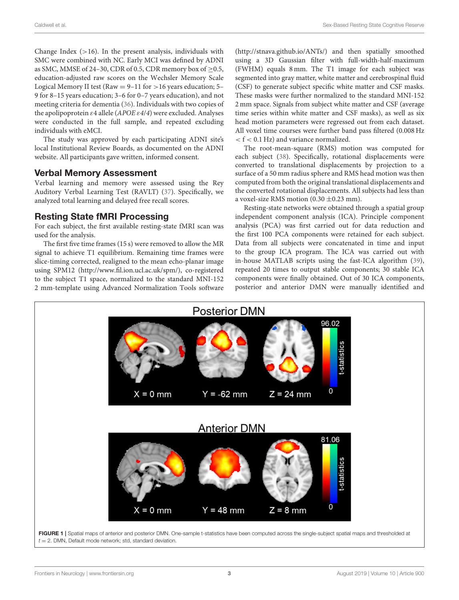Change Index  $(>16)$ . In the present analysis, individuals with SMC were combined with NC. Early MCI was defined by ADNI as SMC, MMSE of 24–30, CDR of 0.5, CDR memory box of ≥0.5, education-adjusted raw scores on the Wechsler Memory Scale Logical Memory II test (Raw =  $9-11$  for  $>16$  years education; 5-9 for 8–15 years education; 3–6 for 0–7 years education), and not meeting criteria for dementia [\(36\)](#page-8-13). Individuals with two copies of the apolipoprotein  $\varepsilon$ 4 allele (APOE  $\varepsilon$ 4/4) were excluded. Analyses were conducted in the full sample, and repeated excluding individuals with eMCI.

The study was approved by each participating ADNI site's local Institutional Review Boards, as documented on the ADNI website. All participants gave written, informed consent.

#### Verbal Memory Assessment

Verbal learning and memory were assessed using the Rey Auditory Verbal Learning Test (RAVLT) [\(37\)](#page-8-14). Specifically, we analyzed total learning and delayed free recall scores.

### Resting State fMRI Processing

For each subject, the first available resting-state fMRI scan was used for the analysis.

The first five time frames (15 s) were removed to allow the MR signal to achieve T1 equilibrium. Remaining time frames were slice-timing corrected, realigned to the mean echo-planar image using SPM12 [\(http://www.fil.ion.ucl.ac.uk/spm/\)](http://www.fil.ion.ucl.ac.uk/spm/), co-registered to the subject T1 space, normalized to the standard MNI-152 2 mm-template using Advanced Normalization Tools software [\(http://stnava.github.io/ANTs/\)](http://stnava.github.io/ANTs/) and then spatially smoothed using a 3D Gaussian filter with full-width-half-maximum (FWHM) equals 8 mm. The T1 image for each subject was segmented into gray matter, white matter and cerebrospinal fluid (CSF) to generate subject specific white matter and CSF masks. These masks were further normalized to the standard MNI-152 2 mm space. Signals from subject white matter and CSF (average time series within white matter and CSF masks), as well as six head motion parameters were regressed out from each dataset. All voxel time courses were further band pass filtered (0.008 Hz < f < 0.1 Hz) and variance normalized.

The root-mean-square (RMS) motion was computed for each subject [\(38\)](#page-8-15). Specifically, rotational displacements were converted to translational displacements by projection to a surface of a 50 mm radius sphere and RMS head motion was then computed from both the original translational displacements and the converted rotational displacements. All subjects had less than a voxel-size RMS motion (0.30  $\pm$ 0.23 mm).

Resting-state networks were obtained through a spatial group independent component analysis (ICA). Principle component analysis (PCA) was first carried out for data reduction and the first 100 PCA components were retained for each subject. Data from all subjects were concatenated in time and input to the group ICA program. The ICA was carried out with in-house MATLAB scripts using the fast-ICA algorithm [\(39\)](#page-8-16), repeated 20 times to output stable components; 30 stable ICA components were finally obtained. Out of 30 ICA components, posterior and anterior DMN were manually identified and

<span id="page-2-0"></span>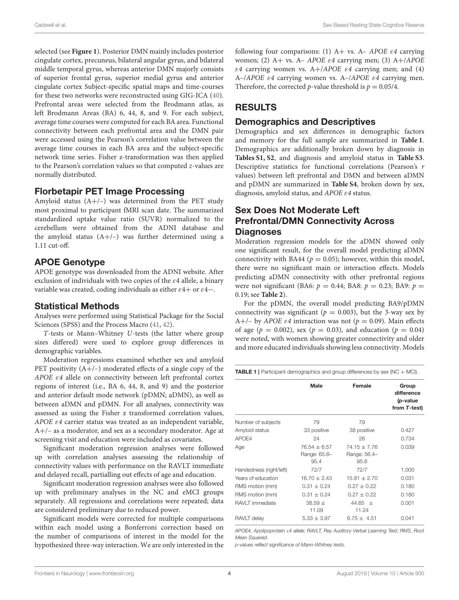Caldwell et al. Sex-Based Resting State Cognitive Reserve

selected (see **[Figure 1](#page-2-0)**). Posterior DMN mainly includes posterior cingulate cortex, precuneus, bilateral angular gyrus, and bilateral middle temporal gyrus, whereas anterior DMN majorly consists of superior frontal gyrus, superior medial gyrus and anterior cingulate cortex Subject-specific spatial maps and time-courses for these two networks were reconstructed using GIG-ICA [\(40\)](#page-8-17). Prefrontal areas were selected from the Brodmann atlas, as left Brodmann Areas (BA) 6, 44, 8, and 9. For each subject, average time courses were computed for each BA area. Functional connectivity between each prefrontal area and the DMN pair were accessed using the Pearson's correlation value between the average time courses in each BA area and the subject-specific network time series. Fisher z-transformation was then applied to the Pearson's correlation values so that computed z-values are normally distributed.

### Florbetapir PET Image Processing

Amyloid status (A+/–) was determined from the PET study most proximal to participant fMRI scan date. The summarized standardized uptake value ratio (SUVR) normalized to the cerebellum were obtained from the ADNI database and the amyloid status  $(A+/-)$  was further determined using a 1.11 cut-off.

# APOE Genotype

APOE genotype was downloaded from the ADNI website. After exclusion of individuals with two copies of the  $\varepsilon$ 4 allele, a binary variable was created, coding individuals as either  $\varepsilon$ 4+ or  $\varepsilon$ 4−.

# Statistical Methods

Analyses were performed using Statistical Package for the Social Sciences (SPSS) and the Process Macro [\(41,](#page-8-18) [42\)](#page-8-19).

T-tests or Mann–Whitney U-tests (the latter where group sizes differed) were used to explore group differences in demographic variables.

Moderation regressions examined whether sex and amyloid PET positivity  $(A+/-)$  moderated effects of a single copy of the APOE ε4 allele on connectivity between left prefrontal cortex regions of interest (i.e., BA 6, 44, 8, and 9) and the posterior and anterior default mode network (pDMN; aDMN), as well as between aDMN and pDMN. For all analyses, connectivity was assessed as using the Fisher z transformed correlation values, APOE ε4 carrier status was treated as an independent variable, A+/– as a moderator, and sex as a secondary moderator. Age at screening visit and education were included as covariates.

Significant moderation regression analyses were followed up with correlation analyses assessing the relationship of connectivity values with performance on the RAVLT immediate and delayed recall, partialling out effects of age and education.

Significant moderation regression analyses were also followed up with preliminary analyses in the NC and eMCI groups separately. All regressions and correlations were repeated; data are considered preliminary due to reduced power.

Significant models were corrected for multiple comparisons within each model using a Bonferroni correction based on the number of comparisons of interest in the model for the hypothesized three-way interaction. We are only interested in the following four comparisons: (1)  $A+$  vs.  $A-$  APOE  $\varepsilon$ 4 carrying women; (2) A+ vs. A– APOE  $\varepsilon$ 4 carrying men; (3) A+/APOE ε4 carrying women vs.  $A+$ /*APOE* ε4 carrying men; and (4) A–/APOE  $\varepsilon$ 4 carrying women vs. A–/APOE  $\varepsilon$ 4 carrying men. Therefore, the corrected *p*-value threshold is  $p = 0.05/4$ .

# **RESULTS**

### Demographics and Descriptives

Demographics and sex differences in demographic factors and memory for the full sample are summarized in **[Table 1](#page-3-0)**. Demographics are additionally broken down by diagnosis in **[Tables S1, S2](#page-7-19)**, and diagnosis and amyloid status in **[Table S3](#page-7-19)**. Descriptive statistics for functional correlations (Pearson's r values) between left prefrontal and DMN and between aDMN and pDMN are summarized in **[Table S4](#page-7-19)**, broken down by sex, diagnosis, amyloid status, and APOE ε4 status.

# Sex Does Not Moderate Left Prefrontal/DMN Connectivity Across **Diagnoses**

Moderation regression models for the aDMN showed only one significant result, for the overall model predicting aDMN connectivity with BA44 ( $p = 0.05$ ); however, within this model, there were no significant main or interaction effects. Models predicting aDMN connectivity with other prefrontal regions were not significant (BA6:  $p = 0.44$ ; BA8:  $p = 0.23$ ; BA9:  $p =$ 0.19; see **[Table 2](#page-4-0)**).

For the pDMN, the overall model predicting BA9/pDMN connectivity was significant ( $p = 0.003$ ), but the 3-way sex by A+/– by APOE  $\varepsilon$ 4 interaction was not ( $p = 0.09$ ). Main effects of age ( $p = 0.002$ ), sex ( $p = 0.03$ ), and education ( $p = 0.04$ ) were noted, with women showing greater connectivity and older and more educated individuals showing less connectivity. Models

<span id="page-3-0"></span>**TABLE 1** | Participant demographics and group differences by sex (NC  $+$  MCI).

|                         | Male                 | Female               | Group<br>difference<br>(p-value<br>from T-test) |
|-------------------------|----------------------|----------------------|-------------------------------------------------|
|                         |                      |                      |                                                 |
| Number of subjects      | 79                   | 79                   |                                                 |
| Amyloid status          | 33 positive          | 38 positive          | 0.427                                           |
| APO <sub>E4</sub>       | 24                   | 26                   | 0.734                                           |
| Age                     | $76.54 \pm 6.57$     | $74.15 + 7.76$       | 0.039                                           |
|                         | Range: 65.6-<br>95.4 | Range: 56.4-<br>95.8 |                                                 |
| Handedness (right/left) | 72/7                 | 72/7                 | 1.000                                           |
| Years of education      | $16.70 \pm 2.43$     | $15.81 + 2.70$       | 0.031                                           |
| RMS motion (mm)         | $0.31 \pm 0.24$      | $0.27 + 0.22$        | 0.180                                           |
| RMS motion (mm)         | $0.31 \pm 0.24$      | $0.27 \pm 0.22$      | 0.180                                           |
| RAVLT immediate         | $38.59 \pm$<br>11.09 | $44.65 +$<br>11.24   | 0.001                                           |
| RAVLT delay             | $5.33 \pm 3.97$      | $6.75 + 4.51$        | 0.041                                           |

*APOE4, Apolipoprotein* ε*4 allele; RAVLT, Rey Auditory Verbal Learning Test; RMS, Root Mean Squared.*

*p-values reflect significance of Mann-Whitney tests.*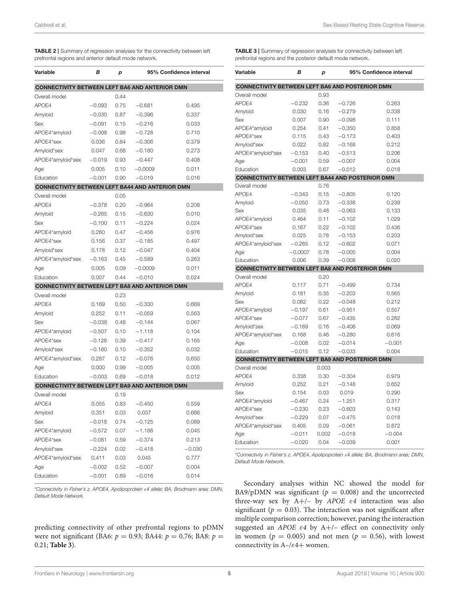<span id="page-4-0"></span>

| <b>TABLE 2</b> Summary of regression analyses for the connectivity between left |
|---------------------------------------------------------------------------------|
| prefrontal regions and anterior default mode network.                           |

| Variable                                               | в        | р    |           | 95% Confidence interval |  |  |  |
|--------------------------------------------------------|----------|------|-----------|-------------------------|--|--|--|
| <b>CONNECTIVITY BETWEEN LEFT BA6 AND ANTERIOR DMN</b>  |          |      |           |                         |  |  |  |
| Overall model                                          |          | 0.44 |           |                         |  |  |  |
| APOE4                                                  | $-0.093$ | 0.75 | $-0.681$  | 0.495                   |  |  |  |
| Amyloid                                                | $-0.030$ | 0.87 | $-0.396$  | 0.337                   |  |  |  |
| Sex                                                    | $-0.091$ | 0.15 | $-0.216$  | 0.033                   |  |  |  |
| APOE4*amyloid                                          | $-0.008$ | 0.98 | $-0.728$  | 0.710                   |  |  |  |
| APOE4*sex                                              | 0.036    | 0.84 | $-0.306$  | 0.379                   |  |  |  |
| Amyloid*sex                                            | 0.047    | 0.68 | $-0.180$  | 0.273                   |  |  |  |
| APOE4*amyloid*sex                                      | $-0.019$ | 0.93 | $-0.447$  | 0.408                   |  |  |  |
| Age                                                    | 0.005    | 0.10 | $-0.0009$ | 0.011                   |  |  |  |
| Education                                              | $-0.001$ | 0.90 | $-0.019$  | 0.016                   |  |  |  |
| <b>CONNECTIVITY BETWEEN LEFT BA44 AND ANTERIOR DMN</b> |          |      |           |                         |  |  |  |
| Overall model                                          |          | 0.05 |           |                         |  |  |  |
| APOE4                                                  | $-0.378$ | 0.20 | $-0.964$  | 0.208                   |  |  |  |
| Amyloid                                                | $-0.265$ | 0.15 | $-0.630$  | 0.010                   |  |  |  |
| Sex                                                    | $-0.100$ | 0.11 | $-0.224$  | 0.024                   |  |  |  |
| APOE4*amyloid                                          | 0.260    | 0.47 | $-0.456$  | 0.976                   |  |  |  |
| APOE4*sex                                              | 0.156    | 0.37 | $-0.185$  | 0.497                   |  |  |  |
| Amyloid*sex                                            | 0.178    | 0.12 | $-0.047$  | 0.404                   |  |  |  |
| APOE4*amyloid*sex                                      | $-0.163$ | 0.45 | $-0.589$  | 0.263                   |  |  |  |
| Age                                                    | 0.005    | 0.09 | $-0.0009$ | 0.011                   |  |  |  |
| Education                                              | 0.007    | 0.44 | $-0.010$  | 0.024                   |  |  |  |
| <b>CONNECTIVITY BETWEEN LEFT BA8 AND ANTERIOR DMN</b>  |          |      |           |                         |  |  |  |
| Overall model                                          |          | 0.23 |           |                         |  |  |  |
| APOE4                                                  | 0.169    | 0.50 | $-0.330$  | 0.669                   |  |  |  |
| Amyloid                                                | 0.252    | 0.11 | $-0.059$  | 0.563                   |  |  |  |
| Sex                                                    | $-0.038$ | 0.48 | $-0.144$  | 0.067                   |  |  |  |
| APOE4*amyloid                                          | $-0.507$ | 0.10 | $-1.118$  | 0.104                   |  |  |  |
| APOE4*sex                                              | $-0.126$ | 0.39 | $-0.417$  | 0.165                   |  |  |  |
| Amyloid*sex                                            | $-0.160$ | 0.10 | $-0.352$  | 0.032                   |  |  |  |
| APOE4*amyloid*sex                                      | 0.287    | 0.12 | $-0.076$  | 0.650                   |  |  |  |
| Age                                                    | 0.000    | 0.99 | $-0.005$  | 0.005                   |  |  |  |
| Education                                              | $-0.003$ | 0.69 | $-0.018$  | 0.012                   |  |  |  |
| <b>CONNECTIVITY BETWEEN LEFT BA9 AND ANTERIOR DMN</b>  |          |      |           |                         |  |  |  |
| Overall model                                          |          | 0.19 |           |                         |  |  |  |
| APOE4                                                  | 0.055    | 0.83 | $-0.450$  | 0.559                   |  |  |  |
| Amyloid                                                | 0.351    | 0.03 | 0.037     | 0.666                   |  |  |  |
| Sex                                                    | $-0.018$ | 0.74 | $-0.125$  | 0.089                   |  |  |  |
| APOE4*amyloid                                          | $-0.572$ | 0.07 | $-1.188$  | 0.045                   |  |  |  |
| APOE4*sex                                              | $-0.081$ | 0.59 | $-0.374$  | 0.213                   |  |  |  |
| Amyloid*sex                                            | $-0.224$ | 0.02 | $-0.418$  | $-0.030$                |  |  |  |
| APOE4*amyloid*sex                                      | 0.411    | 0.03 | 0.045     | 0.777                   |  |  |  |
| Age                                                    | $-0.002$ | 0.52 | $-0.007$  | 0.004                   |  |  |  |
| Education                                              | $-0.001$ | 0.89 | $-0.016$  | 0.014                   |  |  |  |

\**Connectivity in Fisher's z. APOE4, Apolipoprotein* ε*4 allele; BA, Brodmann area; DMN, Default Mode Network.*

predicting connectivity of other prefrontal regions to pDMN were not significant (BA6:  $p = 0.93$ ; BA44:  $p = 0.76$ ; BA8:  $p =$ 0.21; **[Table 3](#page-4-1)**).

<span id="page-4-1"></span>TABLE 3 | Summary of regression analyses for connectivity between left prefrontal regions and the posterior default mode network.

| Variable                                                | в         | p     | 95% Confidence interval |          |  |  |
|---------------------------------------------------------|-----------|-------|-------------------------|----------|--|--|
| <b>CONNECTIVITY BETWEEN LEFT BA6 AND POSTERIOR DMN</b>  |           |       |                         |          |  |  |
| Overall model                                           |           | 0.93  |                         |          |  |  |
| APOE4                                                   | $-0.232$  | 0.36  | $-0.726$                | 0.263    |  |  |
| Amyloid                                                 | 0.030     | 0.16  | $-0.279$                | 0.338    |  |  |
| Sex                                                     | 0.007     | 0.90  | $-0.098$                | 0.111    |  |  |
| APOE4*amyloid                                           | 0.254     | 0.41  | $-0.350$                | 0.858    |  |  |
| APOE4*sex                                               | 0.115     | 0.43  | $-0.173$                | 0.403    |  |  |
| Amyloid*sex                                             | 0.022     | 0.82  | $-0.168$                | 0.212    |  |  |
| APOE4*amyloid*sex                                       | $-0.153$  | 0.40  | $-0.513$                | 0.206    |  |  |
| Age                                                     | $-0.001$  | 0.59  | $-0.007$                | 0.004    |  |  |
| Education                                               | 0.003     | 0.67  | $-0.012$                | 0.018    |  |  |
| <b>CONNECTIVITY BETWEEN LEFT BA44 AND POSTERIOR DMN</b> |           |       |                         |          |  |  |
| Overall model                                           |           | 0.76  |                         |          |  |  |
| APOE4                                                   | $-0.343$  | 0.15  | $-0.805$                | 0.120    |  |  |
| Amyloid                                                 | $-0.050$  | 0.73  | $-0.338$                | 0.239    |  |  |
| Sex                                                     | 0.035     | 0.48  | $-0.063$                | 0.133    |  |  |
| APOE4*amyloid                                           | 0.464     | 0.11  | $-0.102$                | 1.029    |  |  |
| APOE4*sex                                               | 0.167     | 0.22  | $-0.102$                | 0.436    |  |  |
| Amyloid*sex                                             | 0.025     | 0.78  | $-0.153$                | 0.203    |  |  |
| APOE4*amyloid*sex                                       | $-0.265$  | 0.12  | $-0.602$                | 0.071    |  |  |
| Age                                                     | $-0.0007$ | 0.78  | $-0.005$                | 0.004    |  |  |
| Education                                               | 0.006     | 0.39  | $-0.008$                | 0.020    |  |  |
| <b>CONNECTIVITY BETWEEN LEFT BA8 AND POSTERIOR DMN</b>  |           |       |                         |          |  |  |
| Overall model                                           |           | 0.20  |                         |          |  |  |
| APOE4                                                   | 0.117     | 0.71  | $-0.499$                | 0.734    |  |  |
| Amyloid                                                 | 0.181     | 0.35  | $-0.203$                | 0.565    |  |  |
| Sex                                                     | 0.082     | 0.22  | $-0.048$                | 0.212    |  |  |
| APOE4*amyloid                                           | $-0.197$  | 0.61  | $-0.951$                | 0.557    |  |  |
| APOE4*sex                                               | $-0.077$  | 0.67  | $-0.435$                | 0.282    |  |  |
| Amyloid*sex                                             | $-0.169$  | 0.16  | $-0.406$                | 0.069    |  |  |
| APOE4*amyloid*sex                                       | 0.168     | 0.46  | $-0.280$                | 0.616    |  |  |
| Age                                                     | $-0.008$  | 0.02  | $-0.014$                | $-0.001$ |  |  |
| Education                                               | $-0.015$  | 0.12  | $-0.033$                | 0.004    |  |  |
| CONNECTIVITY BETWEEN LEFT BA9 AND POSTERIOR DMN         |           |       |                         |          |  |  |
| Overall model                                           |           | 0.003 |                         |          |  |  |
| APOE4                                                   | 0.338     | 0.30  | $-0.304$                | 0.979    |  |  |
| Amyloid                                                 | 0.252     | 0.21  | $-0.148$                | 0.652    |  |  |
| Sex                                                     | 0.154     | 0.03  | 0.019                   | 0.290    |  |  |
| APOE4*amyloid                                           | $-0.467$  | 0.24  | $-1.251$                | 0.317    |  |  |
| APOE4*sex                                               | $-0.230$  | 0.23  | $-0.603$                | 0.143    |  |  |
| Amyloid*sex                                             | $-0.229$  | 0.07  | $-0.475$                | 0.018    |  |  |
| APOE4*amyloid*sex                                       | 0.405     | 0.09  | $-0.061$                | 0.872    |  |  |
| Age                                                     | $-0.011$  | 0.002 | $-0.018$                | $-0.004$ |  |  |
| Education                                               | $-0.020$  | 0.04  | $-0.039$                | 0.001    |  |  |

\**Connectivity in Fisher's z. APOE4, Apolipoprotein* ε*4 allele; BA, Brodmann area; DMN, Default Mode Network.*

Secondary analyses within NC showed the model for BA9/pDMN was significant ( $p = 0.008$ ) and the uncorrected three-way sex by  $A+/-$  by  $APOE$   $\varepsilon4$  interaction was also significant ( $p = 0.03$ ). The interaction was not significant after multiple comparison correction; however, parsing the interaction suggested an APOE  $\varepsilon$ 4 by A+/- effect on connectivity only in women ( $p = 0.005$ ) and not men ( $p = 0.56$ ), with lowest connectivity in  $A-\ell \epsilon 4+$  women.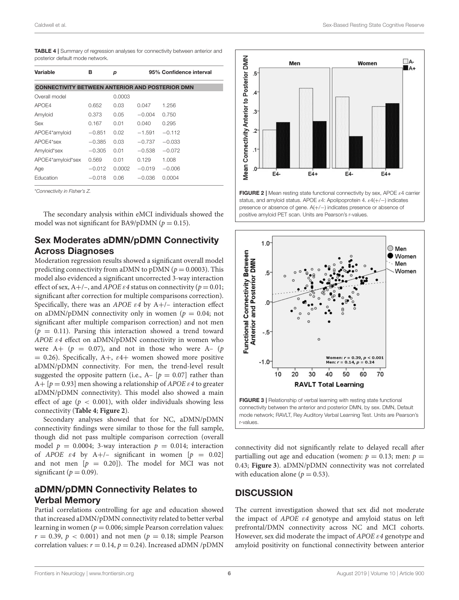<span id="page-5-0"></span>

|                                 | <b>TABLE 4</b>   Summary of regression analyses for connectivity between anterior and |  |  |  |
|---------------------------------|---------------------------------------------------------------------------------------|--|--|--|
| posterior default mode network. |                                                                                       |  |  |  |

| Variable                                               | в        | р      |          | 95% Confidence interval |
|--------------------------------------------------------|----------|--------|----------|-------------------------|
| <b>CONNECTIVITY BETWEEN ANTERIOR AND POSTERIOR DMN</b> |          |        |          |                         |
| Overall model                                          |          | 0.0003 |          |                         |
| APOF4                                                  | 0.652    | 0.03   | 0.047    | 1.256                   |
| Amyloid                                                | 0.373    | 0.05   | $-0.004$ | 0.750                   |
| <b>Sex</b>                                             | 0.167    | 0.01   | 0.040    | 0.295                   |
| APOE4*amyloid                                          | $-0.851$ | 0.02   | $-1.591$ | $-0.112$                |
| APOE4*sex                                              | $-0.385$ | 0.03   | $-0.737$ | $-0.033$                |
| Amyloid*sex                                            | $-0.305$ | 0.01   | $-0.538$ | $-0.072$                |
| APOE4*amyloid*sex                                      | 0.569    | 0.01   | 0.129    | 1.008                   |
| Age                                                    | $-0.012$ | 0.0002 | $-0.019$ | $-0.006$                |
| Education                                              | $-0.018$ | 0.06   | $-0.036$ | 0.0004                  |

\**Connectivity in Fisher's Z.*

The secondary analysis within eMCI individuals showed the model was not significant for BA9/pDMN ( $p = 0.15$ ).

# Sex Moderates aDMN/pDMN Connectivity Across Diagnoses

Moderation regression results showed a significant overall model predicting connectivity from aDMN to pDMN ( $p = 0.0003$ ). This model also evidenced a significant uncorrected 3-way interaction effect of sex,  $A+/-$ , and  $APOE \varepsilon 4$  status on connectivity ( $p = 0.01$ ; significant after correction for multiple comparisons correction). Specifically, there was an APOE  $\varepsilon$ 4 by A+/- interaction effect on aDMN/pDMN connectivity only in women ( $p = 0.04$ ; not significant after multiple comparison correction) and not men  $(p = 0.11)$ . Parsing this interaction showed a trend toward APOE ε4 effect on aDMN/pDMN connectivity in women who were  $A+ (p = 0.07)$ , and not in those who were  $A- (p = 0.07)$  $= 0.26$ ). Specifically, A+,  $\varepsilon$ 4+ women showed more positive aDMN/pDMN connectivity. For men, the trend-level result suggested the opposite pattern (i.e.,  $A - [p = 0.07]$  rather than A+  $[p = 0.93]$  men showing a relationship of *APOE ε4* to greater aDMN/pDMN connectivity). This model also showed a main effect of age ( $p < 0.001$ ), with older individuals showing less connectivity (**[Table 4](#page-5-0)**; **[Figure 2](#page-5-1)**).

Secondary analyses showed that for NC, aDMN/pDMN connectivity findings were similar to those for the full sample, though did not pass multiple comparison correction (overall model  $p = 0.0004$ ; 3-way interaction  $p = 0.014$ ; interaction of APOE  $\varepsilon$ 4 by A+/- significant in women  $[p = 0.02]$ and not men  $[p = 0.20]$ . The model for MCI was not significant ( $p = 0.09$ ).

# aDMN/pDMN Connectivity Relates to Verbal Memory

Partial correlations controlling for age and education showed that increased aDMN/pDMN connectivity related to better verbal learning in women ( $p = 0.006$ ; simple Pearson correlation values:  $r = 0.39$ ,  $p < 0.001$ ) and not men ( $p = 0.18$ ; simple Pearson correlation values:  $r = 0.14$ ,  $p = 0.24$ ). Increased aDMN /pDMN



<span id="page-5-1"></span>FIGURE 2 | Mean resting state functional connectivity by sex, APOE ε4 carrier status, and amyloid status. APOE  $\varepsilon$ 4: Apolipoprotein 4.  $\varepsilon$ 4(+/-) indicates presence or absence of gene. A(+/−) indicates presence or absence of positive amyloid PET scan. Units are Pearson's r-values.



<span id="page-5-2"></span>FIGURE 3 | Relationship of verbal learning with resting state functional connectivity between the anterior and posterior DMN, by sex. DMN, Default mode network; RAVLT, Rey Auditory Verbal Learning Test. Units are Pearson's r-values.

connectivity did not significantly relate to delayed recall after partialling out age and education (women:  $p = 0.13$ ; men:  $p =$ 0.43; **[Figure 3](#page-5-2)**). aDMN/pDMN connectivity was not correlated with education alone ( $p = 0.53$ ).

### **DISCUSSION**

The current investigation showed that sex did not moderate the impact of  $APOE$   $\varepsilon$ 4 genotype and amyloid status on left prefrontal/DMN connectivity across NC and MCI cohorts. However, sex did moderate the impact of APOE ε4 genotype and amyloid positivity on functional connectivity between anterior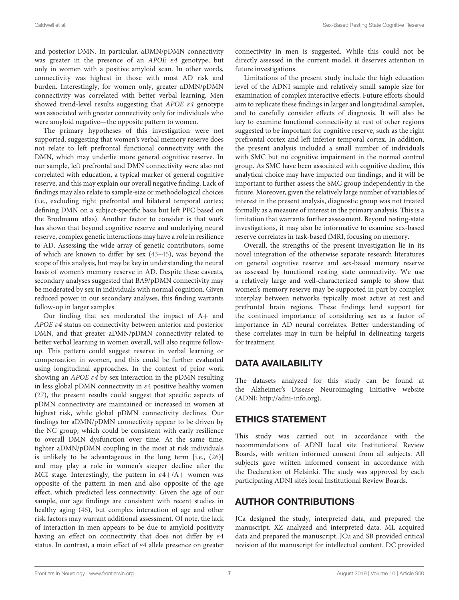and posterior DMN. In particular, aDMN/pDMN connectivity was greater in the presence of an APOE ε4 genotype, but only in women with a positive amyloid scan. In other words, connectivity was highest in those with most AD risk and burden. Interestingly, for women only, greater aDMN/pDMN connectivity was correlated with better verbal learning. Men showed trend-level results suggesting that APOE ε4 genotype was associated with greater connectivity only for individuals who were amyloid negative—the opposite pattern to women.

The primary hypotheses of this investigation were not supported, suggesting that women's verbal memory reserve does not relate to left prefrontal functional connectivity with the DMN, which may underlie more general cognitive reserve. In our sample, left prefrontal and DMN connectivity were also not correlated with education, a typical marker of general cognitive reserve, and this may explain our overall negative finding. Lack of findings may also relate to sample-size or methodological choices (i.e., excluding right prefrontal and bilateral temporal cortex; defining DMN on a subject-specific basis but left PFC based on the Brodmann atlas). Another factor to consider is that work has shown that beyond cognitive reserve and underlying neural reserve, complex genetic interactions may have a role in resilience to AD. Assessing the wide array of genetic contributors, some of which are known to differ by sex [\(43](#page-8-20)[–45\)](#page-8-21), was beyond the scope of this analysis, but may be key in understanding the neural basis of women's memory reserve in AD. Despite these caveats, secondary analyses suggested that BA9/pDMN connectivity may be moderated by sex in individuals with normal cognition. Given reduced power in our secondary analyses, this finding warrants follow-up in larger samples.

Our finding that sex moderated the impact of A+ and APOE ε4 status on connectivity between anterior and posterior DMN, and that greater aDMN/pDMN connectivity related to better verbal learning in women overall, will also require followup. This pattern could suggest reserve in verbal learning or compensation in women, and this could be further evaluated using longitudinal approaches. In the context of prior work showing an *APOE*  $\varepsilon$ *4* by sex interaction in the pDMN resulting in less global pDMN connectivity in  $\varepsilon$ 4 positive healthy women [\(27\)](#page-8-4), the present results could suggest that specific aspects of pDMN connectivity are maintained or increased in women at highest risk, while global pDMN connectivity declines. Our findings for aDMN/pDMN connectivity appear to be driven by the NC group, which could be consistent with early resilience to overall DMN dysfunction over time. At the same time, tighter aDMN/pDMN coupling in the most at risk individuals is unlikely to be advantageous in the long term [i.e., [\(26\)](#page-8-3)] and may play a role in women's steeper decline after the MCI stage. Interestingly, the pattern in  $\varepsilon$ 4+/A+ women was opposite of the pattern in men and also opposite of the age effect, which predicted less connectivity. Given the age of our sample, our age findings are consistent with recent studies in healthy aging [\(46\)](#page-8-22), but complex interaction of age and other risk factors may warrant additional assessment. Of note, the lack of interaction in men appears to be due to amyloid positivity having an effect on connectivity that does not differ by ε4 status. In contrast, a main effect of ε4 allele presence on greater connectivity in men is suggested. While this could not be directly assessed in the current model, it deserves attention in future investigations.

Limitations of the present study include the high education level of the ADNI sample and relatively small sample size for examination of complex interactive effects. Future efforts should aim to replicate these findings in larger and longitudinal samples, and to carefully consider effects of diagnosis. It will also be key to examine functional connectivity at rest of other regions suggested to be important for cognitive reserve, such as the right prefrontal cortex and left inferior temporal cortex. In addition, the present analysis included a small number of individuals with SMC but no cognitive impairment in the normal control group. As SMC have been associated with cognitive decline, this analytical choice may have impacted our findings, and it will be important to further assess the SMC group independently in the future. Moreover, given the relatively large number of variables of interest in the present analysis, diagnostic group was not treated formally as a measure of interest in the primary analysis. This is a limitation that warrants further assessment. Beyond resting-state investigations, it may also be informative to examine sex-based reserve correlates in task-based fMRI, focusing on memory.

Overall, the strengths of the present investigation lie in its novel integration of the otherwise separate research literatures on general cognitive reserve and sex-based memory reserve as assessed by functional resting state connectivity. We use a relatively large and well-characterized sample to show that women's memory reserve may be supported in part by complex interplay between networks typically most active at rest and prefrontal brain regions. These findings lend support for the continued importance of considering sex as a factor of importance in AD neural correlates. Better understanding of these correlates may in turn be helpful in delineating targets for treatment.

# DATA AVAILABILITY

The datasets analyzed for this study can be found at the Alzheimer's Disease Neuroimaging Initiative website (ADNI; [http://adni-info.org\)](http://adni-info.org).

# ETHICS STATEMENT

This study was carried out in accordance with the recommendations of ADNI local site Institutional Review Boards, with written informed consent from all subjects. All subjects gave written informed consent in accordance with the Declaration of Helsinki. The study was approved by each participating ADNI site's local Institutional Review Boards.

# AUTHOR CONTRIBUTIONS

JCa designed the study, interpreted data, and prepared the manuscript. XZ analyzed and interpreted data. ML acquired data and prepared the manuscript. JCu and SB provided critical revision of the manuscript for intellectual content. DC provided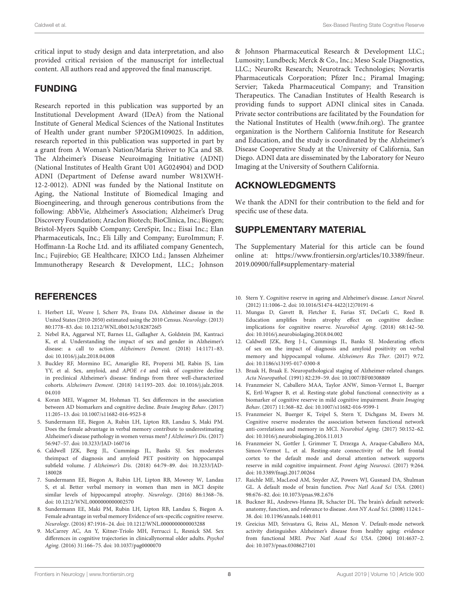critical input to study design and data interpretation, and also provided critical revision of the manuscript for intellectual content. All authors read and approved the final manuscript.

## FUNDING

Research reported in this publication was supported by an Institutional Development Award (IDeA) from the National Institute of General Medical Sciences of the National Institutes of Health under grant number 5P20GM109025. In addition, research reported in this publication was supported in part by a grant from A Woman's Nation/Maria Shriver to JCa and SB. The Alzheimer's Disease Neuroimaging Initiative (ADNI) (National Institutes of Health Grant U01 AG024904) and DOD ADNI (Department of Defense award number W81XWH-12-2-0012). ADNI was funded by the National Institute on Aging, the National Institute of Biomedical Imaging and Bioengineering, and through generous contributions from the following: AbbVie, Alzheimer's Association; Alzheimer's Drug Discovery Foundation; Araclon Biotech; BioClinica, Inc.; Biogen; Bristol-Myers Squibb Company; CereSpir, Inc.; Eisai Inc.; Elan Pharmaceuticals, Inc.; Eli Lilly and Company; EuroImmun; F. Hoffmann-La Roche Ltd. and its affiliated company Genentech, Inc.; Fujirebio; GE Healthcare; IXICO Ltd.; Janssen Alzheimer Immunotherapy Research & Development, LLC.; Johnson

# **REFERENCES**

- <span id="page-7-0"></span>1. Herbert LE, Weuve J, Scherr PA, Evans DA. Alzheimer disease in the United States (2010-2050) estimated using the 2010 Census. Neurology. (2013) 80:1778–83. doi: [10.1212/WNL.0b013e31828726f5](https://doi.org/10.1212/WNL.0b013e31828726f5)
- <span id="page-7-1"></span>2. Nebel RA, Aggarwal NT, Barnes LL, Gallagher A, Goldstein JM, Kantraci K, et al. Understanding the impact of sex and gender in Alzheimer's disease: a call to action. Alzheimers Dement. (2018) 14:1171–83. doi: [10.1016/j.jalz.2018.04.008](https://doi.org/10.1016/j.jalz.2018.04.008)
- <span id="page-7-2"></span>3. Buckley RF, Mormino EC, Amariglio RE, Properzi MJ, Rabin JS, Lim YY, et al. Sex, amyloid, and APOE ε4 and risk of cognitive decline in preclinical Alzheimer's disease: findings from three well-characterized cohorts. Alzheimers Dement. [\(2018\) 14:1193–203. doi: 10.1016/j.jalz.2018.](https://doi.org/10.1016/j.jalz.2018.04.010) 04.010
- <span id="page-7-3"></span>4. Koran MEI, Wagener M, Hohman TJ. Sex differences in the association between AD biomarkers and cognitive decline. Brain Imaging Behav. (2017) 11:205–13. doi: [10.1007/s11682-016-9523-8](https://doi.org/10.1007/s11682-016-9523-8)
- <span id="page-7-4"></span>5. Sundermann EE, Biegon A, Rubin LH, Lipton RB, Landau S, Maki PM. Does the female advantage in verbal memory contribute to underestimating Alzheimer's disease pathology in women versus men? J Alzheimer's Dis. (2017) 56:947–57. doi: [10.3233/JAD-160716](https://doi.org/10.3233/JAD-160716)
- <span id="page-7-5"></span>6. Caldwell JZK, Berg JL, Cummings JL, Banks SJ. Sex moderates theimpact of diagnosis and amyloid PET positivity on hippocampal subfield volume. J Alzheimer's Dis. [\(2018\) 64:79–89. doi: 10.3233/JAD-](https://doi.org/10.3233/JAD-180028)180028
- <span id="page-7-6"></span>7. Sundermann EE, Biegon A, Rubin LH, Lipton RB, Mowrey W, Landau S, et al. Better verbal memory in women than men in MCI despite similar levels of hippocampal atrophy. Neurology. (2016) 86:1368–76. doi: [10.1212/WNL.0000000000002570](https://doi.org/10.1212/WNL.0000000000002570)
- <span id="page-7-7"></span>8. Sundermann EE, Maki PM, Rubin LH, Lipton RB, Landau S, Biegon A. Female advantage in verbal memory Evidence of sex-specific cognitive reserve. Neurology. (2016) 87:1916–24. doi: [10.1212/WNL.0000000000003288](https://doi.org/10.1212/WNL.0000000000003288)
- <span id="page-7-8"></span>9. McCarrey AC, An Y, Kitner-Triolo MH, Ferrucci L, Resnick SM. Sex differences in cognitive trajectories in clinicallynormal older adults. Psychol Aging. (2016) 31:166–75. doi: [10.1037/pag0000070](https://doi.org/10.1037/pag0000070)

& Johnson Pharmaceutical Research & Development LLC.; Lumosity; Lundbeck; Merck & Co., Inc.; Meso Scale Diagnostics, LLC.; NeuroRx Research; Neurotrack Technologies; Novartis Pharmaceuticals Corporation; Pfizer Inc.; Piramal Imaging; Servier; Takeda Pharmaceutical Company; and Transition Therapeutics. The Canadian Institutes of Health Research is providing funds to support ADNI clinical sites in Canada. Private sector contributions are facilitated by the Foundation for the National Institutes of Health [\(www.fnih.org\)](www.fnih.org). The grantee organization is the Northern California Institute for Research and Education, and the study is coordinated by the Alzheimer's Disease Cooperative Study at the University of California, San Diego. ADNI data are disseminated by the Laboratory for Neuro Imaging at the University of Southern California.

# ACKNOWLEDGMENTS

We thank the ADNI for their contribution to the field and for specific use of these data.

# SUPPLEMENTARY MATERIAL

<span id="page-7-19"></span>The Supplementary Material for this article can be found [online at: https://www.frontiersin.org/articles/10.3389/fneur.](https://www.frontiersin.org/articles/10.3389/fneur.2019.00900/full#supplementary-material) 2019.00900/full#supplementary-material

- <span id="page-7-9"></span>10. Stern Y. Cognitive reserve in ageing and Alzheimer's disease. Lancet Neurol. (2012) 11:1006–2. doi: [10.1016/S1474-4422\(12\)70191-6](https://doi.org/10.1016/S1474-4422(12)70191-6)
- <span id="page-7-10"></span>11. Mungas D, Gavett B, Fletcher E, Farias ST, DeCarli C, Reed B. Education amplifies brain atrophy effect on cognitive decline: implications for cognitive reserve. Neurobiol Aging. (2018) 68:142–50. doi: [10.1016/j.neurobiolaging.2018.04.002](https://doi.org/10.1016/j.neurobiolaging.2018.04.002)
- <span id="page-7-11"></span>12. Caldwell JZK, Berg J-L, Cummings JL, Banks SJ. Moderating effects of sex on the impact of diagnosis and amyloid positivity on verbal memory and hippocampal volume. Alzheimers Res Ther. (2017) 9:72. doi: [10.1186/s13195-017-0300-8](https://doi.org/10.1186/s13195-017-0300-8)
- <span id="page-7-12"></span>13. Braak H, Braak E. Neuropathological staging of Alzheimer-related changes. Acta Neuropathol. (1991) 82:239–59. doi: [10.1007/BF00308809](https://doi.org/10.1007/BF00308809)
- <span id="page-7-13"></span>14. Franzmeier N, Caballero MAA, Taylor ANW, Simon-Vermot L, Buerger K, Ertl-Wagner B, et al. Resting-state global functional connectivity as a biomarker of cognitive reserve in mild cognitive impairment. Brain Imaging Behav. (2017) 11:368–82. doi: [10.1007/s11682-016-9599-1](https://doi.org/10.1007/s11682-016-9599-1)
- <span id="page-7-14"></span>15. Franzmeier N, Buerger K, Teipel S, Stern Y, Dichgans M, Ewers M. Cognitive reserve moderates the association between functional network anti-correlations and memory in MCI. Neurobiol Aging. (2017) 50:152–62. doi: [10.1016/j.neurobiolaging.2016.11.013](https://doi.org/10.1016/j.neurobiolaging.2016.11.013)
- <span id="page-7-15"></span>16. Franzmeier N, Gottler J, Grimmer T, Drzezga A, Araque-Caballero MA, Simon-Vermot L, et al. Resting-state connectivity of the left frontal cortex to the default mode and dorsal attention network supports reserve in mild cognitive impairment. Front Aging Neurosci. (2017) 9:264. doi: [10.3389/fnagi.2017.00264](https://doi.org/10.3389/fnagi.2017.00264)
- <span id="page-7-16"></span>17. Raichle ME, MacLeod AM, Snyder AZ, Powers WJ, Gusnard DA, Shulman GL. A default mode of brain function. Proc Natl Acad Sci USA. (2001) 98:676–82. doi: [10.1073/pnas.98.2.676](https://doi.org/10.1073/pnas.98.2.676)
- <span id="page-7-17"></span>18. Buckner RL, Andrews-Hanna JR, Schacter DL. The brain's default network: anatomy, function, and relevance to disease. Ann NY Acad Sci. (2008) 1124:1– 38. doi: [10.1196/annals.1440.011](https://doi.org/10.1196/annals.1440.011)
- <span id="page-7-18"></span>19. Greicius MD, Srivastava G, Reiss AL, Menon V. Default-mode network activity distinguishes Alzheimer's disease from healthy aging: evidence from functional MRI. Proc Natl Acad Sci USA. (2004) 101:4637–2. doi: [10.1073/pnas.0308627101](https://doi.org/10.1073/pnas.0308627101)